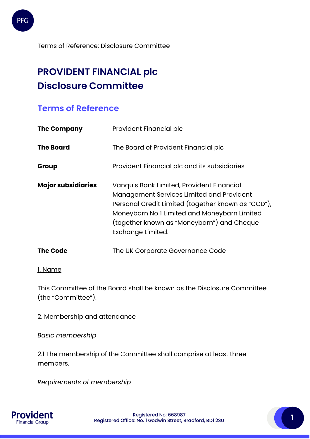

# **PROVIDENT FINANCIAL plc Disclosure Committee**

# **Terms of Reference**

| <b>The Company</b>        | Provident Financial plc                                                                                                                                                                                                                                         |  |  |
|---------------------------|-----------------------------------------------------------------------------------------------------------------------------------------------------------------------------------------------------------------------------------------------------------------|--|--|
| <b>The Board</b>          | The Board of Provident Financial plc                                                                                                                                                                                                                            |  |  |
| Group                     | Provident Financial plc and its subsidiaries                                                                                                                                                                                                                    |  |  |
| <b>Major subsidiaries</b> | Vanquis Bank Limited, Provident Financial<br>Management Services Limited and Provident<br>Personal Credit Limited (together known as "CCD"),<br>Moneybarn No I Limited and Moneybarn Limited<br>(together known as "Moneybarn") and Cheque<br>Exchange Limited. |  |  |
| <b>The Code</b>           | The UK Corporate Governance Code                                                                                                                                                                                                                                |  |  |

# 1. Name

This Committee of the Board shall be known as the Disclosure Committee (the "Committee").

2. Membership and attendance

*Basic membership* 

2.1 The membership of the Committee shall comprise at least three members.

*Requirements of membership* 

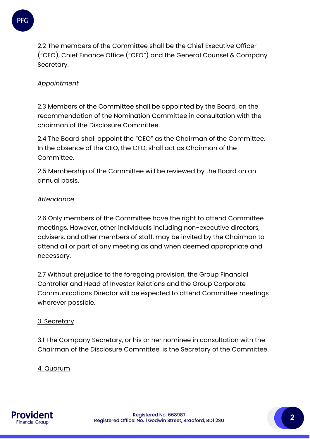

2.2 The members of the Committee shall be the Chief Executive Officer ("CEO), Chief Finance Office ("CFO") and the General Counsel & Company Secretary.

# *Appointment*

2.3 Members of the Committee shall be appointed by the Board, on the recommendation of the Nomination Committee in consultation with the chairman of the Disclosure Committee.

2.4 The Board shall appoint the "CEO" as the Chairman of the Committee. In the absence of the CEO, the CFO, shall act as Chairman of the Committee.

2.5 Membership of the Committee will be reviewed by the Board on an annual basis.

# *Attendance*

2.6 Only members of the Committee have the right to attend Committee meetings. However, other individuals including non-executive directors, advisers, and other members of staff, may be invited by the Chairman to attend all or part of any meeting as and when deemed appropriate and necessary.

2.7 Without prejudice to the foregoing provision, the Group Financial Controller and Head of Investor Relations and the Group Corporate Communications Director will be expected to attend Committee meetings wherever possible.

#### 3. Secretary

3.1 The Company Secretary, or his or her nominee in consultation with the Chairman of the Disclosure Committee, is the Secretary of the Committee.

# 4. Quorum

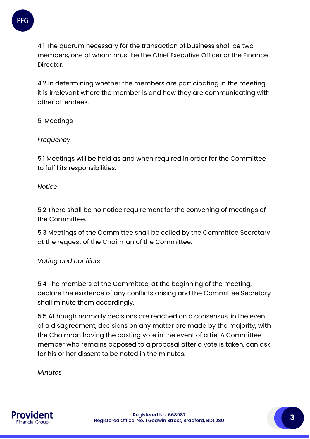

4.1 The quorum necessary for the transaction of business shall be two members, one of whom must be the Chief Executive Officer or the Finance Director.

4.2 In determining whether the members are participating in the meeting, it is irrelevant where the member is and how they are communicating with other attendees.

#### 5. Meetings

#### *Frequency*

5.1 Meetings will be held as and when required in order for the Committee to fulfil its responsibilities.

#### *Notice*

5.2 There shall be no notice requirement for the convening of meetings of the Committee.

5.3 Meetings of the Committee shall be called by the Committee Secretary at the request of the Chairman of the Committee.

#### *Voting and conflicts*

5.4 The members of the Committee, at the beginning of the meeting, declare the existence of any conflicts arising and the Committee Secretary shall minute them accordingly.

5.5 Although normally decisions are reached on a consensus, in the event of a disagreement, decisions on any matter are made by the majority, with the Chairman having the casting vote in the event of a tie. A Committee member who remains opposed to a proposal after a vote is taken, can ask for his or her dissent to be noted in the minutes.

*Minutes* 

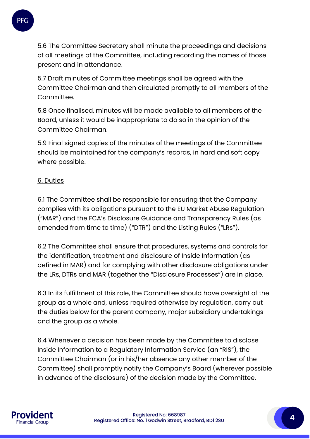

5.6 The Committee Secretary shall minute the proceedings and decisions of all meetings of the Committee, including recording the names of those present and in attendance.

5.7 Draft minutes of Committee meetings shall be agreed with the Committee Chairman and then circulated promptly to all members of the Committee.

5.8 Once finalised, minutes will be made available to all members of the Board, unless it would be inappropriate to do so in the opinion of the Committee Chairman.

5.9 Final signed copies of the minutes of the meetings of the Committee should be maintained for the company's records, in hard and soft copy where possible.

# 6. Duties

6.1 The Committee shall be responsible for ensuring that the Company complies with its obligations pursuant to the EU Market Abuse Regulation ("MAR") and the FCA's Disclosure Guidance and Transparency Rules (as amended from time to time) ("DTR") and the Listing Rules ("LRs").

6.2 The Committee shall ensure that procedures, systems and controls for the identification, treatment and disclosure of Inside Information (as defined in MAR) and for complying with other disclosure obligations under the LRs, DTRs and MAR (together the "Disclosure Processes") are in place.

6.3 In its fulfillment of this role, the Committee should have oversight of the group as a whole and, unless required otherwise by regulation, carry out the duties below for the parent company, major subsidiary undertakings and the group as a whole.

6.4 Whenever a decision has been made by the Committee to disclose Inside Information to a Regulatory Information Service (an "RIS"), the Committee Chairman (or in his/her absence any other member of the Committee) shall promptly notify the Company's Board (wherever possible in advance of the disclosure) of the decision made by the Committee.

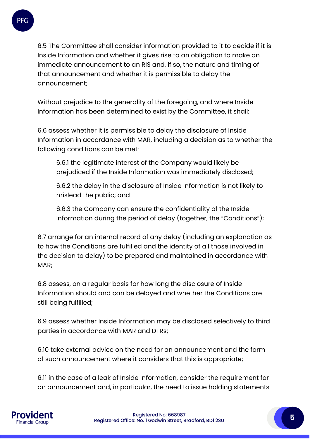

6.5 The Committee shall consider information provided to it to decide if it is Inside Information and whether it gives rise to an obligation to make an immediate announcement to an RIS and, if so, the nature and timing of that announcement and whether it is permissible to delay the announcement;

Without prejudice to the generality of the foregoing, and where Inside Information has been determined to exist by the Committee, it shall:

6.6 assess whether it is permissible to delay the disclosure of Inside Information in accordance with MAR, including a decision as to whether the following conditions can be met:

6.6.1 the legitimate interest of the Company would likely be prejudiced if the Inside Information was immediately disclosed;

6.6.2 the delay in the disclosure of Inside Information is not likely to mislead the public; and

6.6.3 the Company can ensure the confidentiality of the Inside Information during the period of delay (together, the "Conditions");

6.7 arrange for an internal record of any delay (including an explanation as to how the Conditions are fulfilled and the identity of all those involved in the decision to delay) to be prepared and maintained in accordance with MAR;

6.8 assess, on a regular basis for how long the disclosure of Inside Information should and can be delayed and whether the Conditions are still being fulfilled;

6.9 assess whether Inside Information may be disclosed selectively to third parties in accordance with MAR and DTRs;

6.10 take external advice on the need for an announcement and the form of such announcement where it considers that this is appropriate;

6.11 in the case of a leak of Inside Information, consider the requirement for an announcement and, in particular, the need to issue holding statements

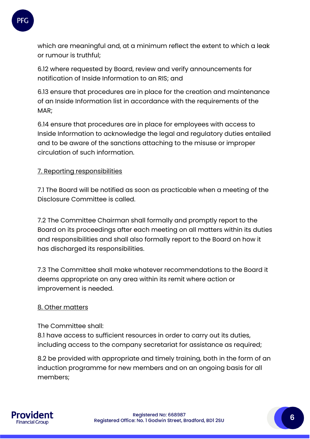

which are meaningful and, at a minimum reflect the extent to which a leak or rumour is truthful;

6.12 where requested by Board, review and verify announcements for notification of Inside Information to an RIS; and

6.13 ensure that procedures are in place for the creation and maintenance of an Inside Information list in accordance with the requirements of the MAR;

6.14 ensure that procedures are in place for employees with access to Inside Information to acknowledge the legal and regulatory duties entailed and to be aware of the sanctions attaching to the misuse or improper circulation of such information.

# 7. Reporting responsibilities

7.1 The Board will be notified as soon as practicable when a meeting of the Disclosure Committee is called.

7.2 The Committee Chairman shall formally and promptly report to the Board on its proceedings after each meeting on all matters within its duties and responsibilities and shall also formally report to the Board on how it has discharged its responsibilities.

7.3 The Committee shall make whatever recommendations to the Board it deems appropriate on any area within its remit where action or improvement is needed.

#### 8. Other matters

#### The Committee shall:

8.1 have access to sufficient resources in order to carry out its duties, including access to the company secretariat for assistance as required;

8.2 be provided with appropriate and timely training, both in the form of an induction programme for new members and on an ongoing basis for all members;

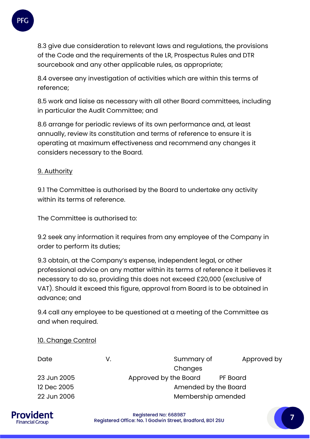

8.3 give due consideration to relevant laws and regulations, the provisions of the Code and the requirements of the LR, Prospectus Rules and DTR sourcebook and any other applicable rules, as appropriate;

8.4 oversee any investigation of activities which are within this terms of reference;

8.5 work and liaise as necessary with all other Board committees, including in particular the Audit Committee; and

8.6 arrange for periodic reviews of its own performance and, at least annually, review its constitution and terms of reference to ensure it is operating at maximum effectiveness and recommend any changes it considers necessary to the Board.

# 9. Authority

9.1 The Committee is authorised by the Board to undertake any activity within its terms of reference.

The Committee is authorised to:

9.2 seek any information it requires from any employee of the Company in order to perform its duties;

9.3 obtain, at the Company's expense, independent legal, or other professional advice on any matter within its terms of reference it believes it necessary to do so, providing this does not exceed £20,000 (exclusive of VAT). Should it exceed this figure, approval from Board is to be obtained in advance; and

9.4 call any employee to be questioned at a meeting of the Committee as and when required.

#### 10. Change Control

| Date        | V. | Summary of            | Approved by |
|-------------|----|-----------------------|-------------|
|             |    | Changes               |             |
| 23 Jun 2005 |    | Approved by the Board | PF Board    |
| 12 Dec 2005 |    | Amended by the Board  |             |
| 22 Jun 2006 |    | Membership amended    |             |
|             |    |                       |             |



Registered No: 668987 Registered Office: No. 1 Godwin Street, Bradford, BD1 2SU